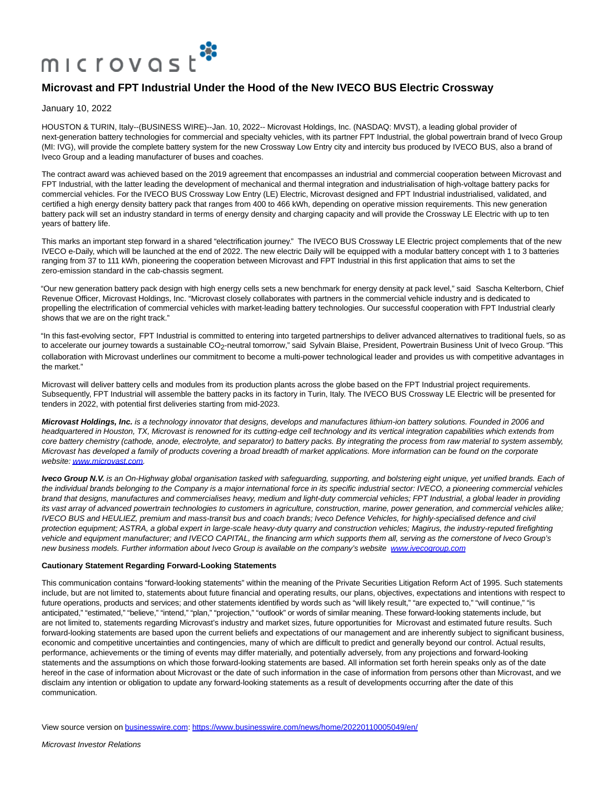

## **Microvast and FPT Industrial Under the Hood of the New IVECO BUS Electric Crossway**

January 10, 2022

HOUSTON & TURIN, Italy--(BUSINESS WIRE)--Jan. 10, 2022-- Microvast Holdings, Inc. (NASDAQ: MVST), a leading global provider of next-generation battery technologies for commercial and specialty vehicles, with its partner FPT Industrial, the global powertrain brand of Iveco Group (MI: IVG), will provide the complete battery system for the new Crossway Low Entry city and intercity bus produced by IVECO BUS, also a brand of Iveco Group and a leading manufacturer of buses and coaches.

The contract award was achieved based on the 2019 agreement that encompasses an industrial and commercial cooperation between Microvast and FPT Industrial, with the latter leading the development of mechanical and thermal integration and industrialisation of high-voltage battery packs for commercial vehicles. For the IVECO BUS Crossway Low Entry (LE) Electric, Microvast designed and FPT Industrial industrialised, validated, and certified a high energy density battery pack that ranges from 400 to 466 kWh, depending on operative mission requirements. This new generation battery pack will set an industry standard in terms of energy density and charging capacity and will provide the Crossway LE Electric with up to ten years of battery life.

This marks an important step forward in a shared "electrification journey." The IVECO BUS Crossway LE Electric project complements that of the new IVECO e-Daily, which will be launched at the end of 2022. The new electric Daily will be equipped with a modular battery concept with 1 to 3 batteries ranging from 37 to 111 kWh, pioneering the cooperation between Microvast and FPT Industrial in this first application that aims to set the zero-emission standard in the cab-chassis segment.

"Our new generation battery pack design with high energy cells sets a new benchmark for energy density at pack level," said Sascha Kelterborn, Chief Revenue Officer, Microvast Holdings, Inc. "Microvast closely collaborates with partners in the commercial vehicle industry and is dedicated to propelling the electrification of commercial vehicles with market-leading battery technologies. Our successful cooperation with FPT Industrial clearly shows that we are on the right track."

"In this fast-evolving sector, FPT Industrial is committed to entering into targeted partnerships to deliver advanced alternatives to traditional fuels, so as to accelerate our journey towards a sustainable CO<sub>2</sub>-neutral tomorrow," said Sylvain Blaise, President, Powertrain Business Unit of Iveco Group. "This collaboration with Microvast underlines our commitment to become a multi-power technological leader and provides us with competitive advantages in the market."

Microvast will deliver battery cells and modules from its production plants across the globe based on the FPT Industrial project requirements. Subsequently, FPT Industrial will assemble the battery packs in its factory in Turin, Italy. The IVECO BUS Crossway LE Electric will be presented for tenders in 2022, with potential first deliveries starting from mid-2023.

**Microvast Holdings, Inc.** is a technology innovator that designs, develops and manufactures lithium-ion battery solutions. Founded in 2006 and headquartered in Houston, TX, Microvast is renowned for its cutting-edge cell technology and its vertical integration capabilities which extends from core battery chemistry (cathode, anode, electrolyte, and separator) to battery packs. By integrating the process from raw material to system assembly, Microvast has developed a family of products covering a broad breadth of market applications. More information can be found on the corporate website[: www.microvast.com.](https://cts.businesswire.com/ct/CT?id=smartlink&url=http%3A%2F%2Fwww.microvast.com&esheet=52559157&newsitemid=20220110005049&lan=en-US&anchor=www.microvast.com&index=1&md5=d664cb0a41bd0ff9b25851e8127b5b1b)

**Iveco Group N.V.** is an On-Highway global organisation tasked with safeguarding, supporting, and bolstering eight unique, yet unified brands. Each of the individual brands belonging to the Company is a major international force in its specific industrial sector: IVECO, a pioneering commercial vehicles brand that designs, manufactures and commercialises heavy, medium and light-duty commercial vehicles; FPT Industrial, a global leader in providing its vast array of advanced powertrain technologies to customers in agriculture, construction, marine, power generation, and commercial vehicles alike; IVECO BUS and HEULIEZ, premium and mass-transit bus and coach brands; Iveco Defence Vehicles, for highly-specialised defence and civil protection equipment; ASTRA, a global expert in large-scale heavy-duty quarry and construction vehicles; Magirus, the industry-reputed firefighting vehicle and equipment manufacturer; and IVECO CAPITAL, the financing arm which supports them all, serving as the cornerstone of Iveco Group's new business models. Further information about Iveco Group is available on the company's website [www.ivecogroup.com](https://cts.businesswire.com/ct/CT?id=smartlink&url=http%3A%2F%2Fwww.ivecogroup.com&esheet=52559157&newsitemid=20220110005049&lan=en-US&anchor=www.ivecogroup.com&index=2&md5=2a18b3b41c8220bec94cec4d04299ba6)

## **Cautionary Statement Regarding Forward-Looking Statements**

This communication contains "forward-looking statements" within the meaning of the Private Securities Litigation Reform Act of 1995. Such statements include, but are not limited to, statements about future financial and operating results, our plans, objectives, expectations and intentions with respect to future operations, products and services; and other statements identified by words such as "will likely result," "are expected to," "will continue," "is anticipated," "estimated," "believe," "intend," "plan," "projection," "outlook" or words of similar meaning. These forward-looking statements include, but are not limited to, statements regarding Microvast's industry and market sizes, future opportunities for Microvast and estimated future results. Such forward-looking statements are based upon the current beliefs and expectations of our management and are inherently subject to significant business, economic and competitive uncertainties and contingencies, many of which are difficult to predict and generally beyond our control. Actual results, performance, achievements or the timing of events may differ materially, and potentially adversely, from any projections and forward-looking statements and the assumptions on which those forward-looking statements are based. All information set forth herein speaks only as of the date hereof in the case of information about Microvast or the date of such information in the case of information from persons other than Microvast, and we disclaim any intention or obligation to update any forward-looking statements as a result of developments occurring after the date of this communication.

View source version on [businesswire.com:](http://businesswire.com/)<https://www.businesswire.com/news/home/20220110005049/en/>